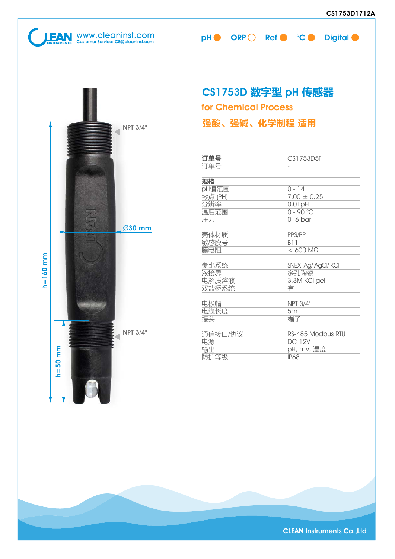**JEAN** WWW.cleaninst.com pH ORP Ref CCODigital Customer Service: CS@cleaninst.com

#### CS1753D 数字型 pH 传感器 for Chemical Process 强酸、强碱、化学制程 适用 NPT 3/4" 2 订单号 CS1753D5T 订单号 - 规格  $0 - 14$ pH值范围  $7.00 \pm 0.25$ 零点 (PH) 0.01pH 分辨率 温度范围  $0 - 90 °C$ 压力 0 -6 bar Ø30 mm PPS/PP 壳体材质 B11 敏感膜号 膜电阻  $< 600 M<sub>\Omega</sub>$ 参比系统 SNEX Ag/ AgCl/ KCl 液接界 多孔陶瓷 电解质溶液 3.3M KCl gel 双盐桥系统 有 电极帽 NPT 3/4" 电缆长度 5m 端子 接头 NPT 3/4" 通信接口/协议 RS-485 Modbus RTU 电源 DC-12V 输出 pH, mV, 温度 防护等级IP68

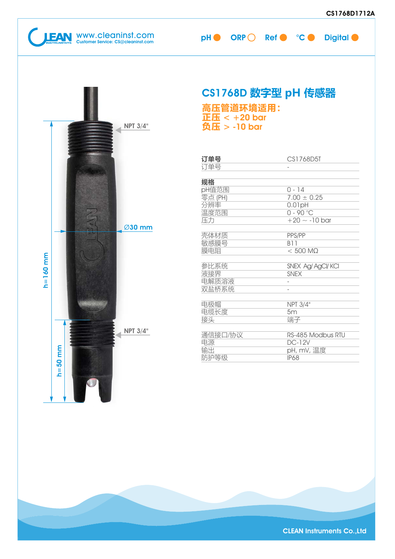h=160 mm

 $h = 160$  mm

h=50 mm

 $h = 50$  mm

| <b>NPT 3/4"</b> | 高压管道环境适用:<br>正压 $< +20$ bar<br>负压 > -10 bar | CS1768D 数字型 pH 传感器                                                         |
|-----------------|---------------------------------------------|----------------------------------------------------------------------------|
|                 | 订单号<br>订单号                                  | CS1768D5T                                                                  |
| Z<br>Ø30 mm     | 规格<br>pH值范围<br>零点 (PH)<br>分辨率<br>温度范围<br>压力 | $0 - 14$<br>$7.00 \pm 0.25$<br>0.01pH<br>$0 - 90 °C$<br>$+20 \sim -10$ bar |
|                 | 壳体材质<br>敏感膜号<br>膜电阻                         | PPS/PP<br><b>B11</b><br>$< 500$ M $\Omega$                                 |
|                 | 参比系统<br>液接界<br>电解质溶液<br>双盐桥系统               | SNEX Ag/ AgCl/ KCI<br><b>SNEX</b>                                          |
|                 | 电极帽<br>电缆长度<br>接头                           | <b>NPT 3/4"</b><br>5m<br>端子                                                |
| <b>NPT 3/4"</b> | 通信接口/协议<br>电源<br>输出<br>防护等级                 | RS-485 Modbus RTU<br><b>DC-12V</b><br>pH, mV, 温度<br><b>IP68</b>            |

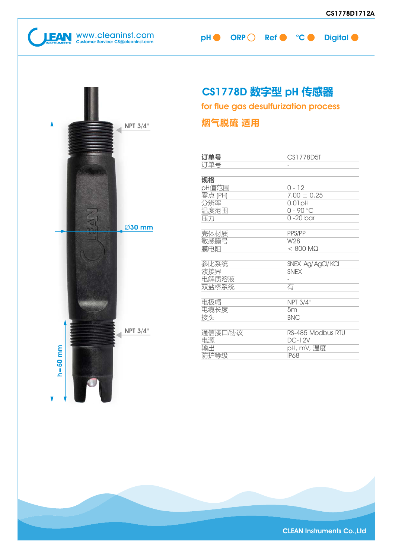**CULTAN** WWW.Cleaninst.com pH ORP Ref CCODigital Customer Service: CS@cleaninst.com



### CS1778D 数字型 pH 传感器

for flue gas desulfurization process

### 烟气脱硫 适用

| 订单号     | CS1778D5T          |
|---------|--------------------|
| 订单号     |                    |
|         |                    |
| 规格      |                    |
| pH值范围   | $0 - 12$           |
| 零点 (PH) | $7.00 \pm 0.25$    |
| 分辨率     | $0.01$ pH          |
| 温度范围    | $0 - 90 °C$        |
| 压力      | $0 - 20$ bar       |
|         |                    |
| 壳体材质    | PPS/PP             |
| 敏感膜号    | W28                |
| 膜电阻     | $< 800$ M $\Omega$ |
| 参比系统    | SNEX Ag/ AgCl/ KCI |
| 液接界     | <b>SNFX</b>        |
| 电解质溶液   |                    |
| 双盐桥系统   | 有                  |
|         |                    |
| 电极帽     | NPT 3/4"           |
| 电缆长度    | 5m                 |
| 接头      | <b>BNC</b>         |
|         |                    |
| 通信接口/协议 | RS-485 Modbus RTU  |
| 电源      | <b>DC-12V</b>      |
| 输出      | pH, mV, 温度         |
| 防护等级    | <b>IP68</b>        |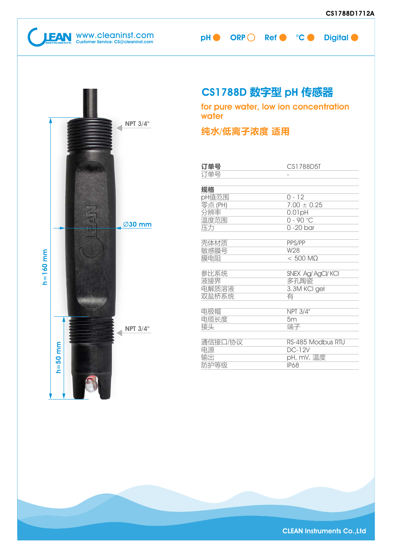**CULTAN** WWW.Cleaninst.com pH ORP Ref C °C Digital ORP C Ref C °C Digital Customer Service: CS@cleaninst.com



### CS1788D 数字型 pH 传感器

for pure water, low ion concentration water

#### 纯水/低离子浓度 适用

| 订单号     | CS1788D5T          |
|---------|--------------------|
| 订单号     |                    |
| 规格      |                    |
| pH值范围   | $0 - 12$           |
| 零点 (PH) | $7.00 \pm 0.25$    |
| 分辨率     | $0.01$ pH          |
| 温度范围    | $0 - 90 °C$        |
| 压力      | $0 - 20$ bar       |
| 壳体材质    | PPS/PP             |
| 敏感膜号    | W28                |
| 膜电阻     | $< 500$ M $\Omega$ |
| 参比系统    | SNEX Ag/ AgCl/ KCI |
| 液接界     | 多孔陶瓷               |
| 电解质溶液   | 3.3M KCI gel       |
| 双盐桥系统   | 有                  |
| 电极帽     | NPT 3/4"           |
| 电缆长度    | 5m                 |
| 接头      | 端子                 |
| 通信接口/协议 | RS-485 Modbus RTU  |
| 电源      | $DC-12V$           |
| 输出      | pH, mV, 温度         |
| 防护等级    | <b>IP68</b>        |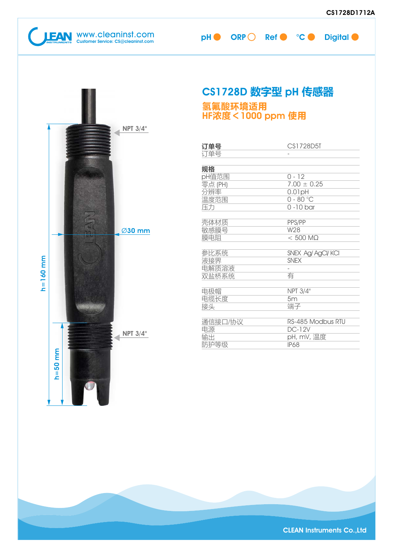WWW.cleaninst.com pH ORP Ref C °C Dig

| эH | <b>ORP</b> | Ref | <b>Digital</b> |
|----|------------|-----|----------------|
|    |            |     |                |

|              |                                | <b>CS1728</b>                               |
|--------------|--------------------------------|---------------------------------------------|
|              |                                | 氢氟酸环<br>HF浓度<                               |
|              | <b>NPT 3/4"</b>                |                                             |
|              |                                | 订单号<br>订单号                                  |
|              |                                | 规格<br>pH值范围<br>零点 (PH)<br>分辨率<br>温度范围<br>压力 |
|              | Ø30 mm                         | 壳体材质<br>敏感膜号<br>膜电阻                         |
| $h = 160$ mm |                                | 参比系统<br>液接界<br>电解质溶液<br>双盐桥系统               |
|              |                                | 电极帽<br>电缆长度<br>接头                           |
|              | <b>NPT 3/4"</b><br>$h = 50$ mm | 通信接口/协<br>电源<br>输出<br>防护等级                  |
|              |                                |                                             |

### 1728D 数字型 pH 传感器

#### 氢氟酸环境适用 HF浓度<1000 ppm 使用

| 订单号     | CS1728D5T          |
|---------|--------------------|
| 订单号     |                    |
|         |                    |
| 规格      |                    |
| pH值范围   | $0 - 12$           |
| 零点 (PH) | $7.00 \pm 0.25$    |
| 分辨率     | 0.01pH             |
| 温度范围    | $0 - 80$ °C        |
| 压力      | $0 - 10$ bar       |
| 壳体材质    | PPS/PP             |
| 敏感膜号    | W28                |
| 膜电阻     | $< 500$ M $\Omega$ |
| 参比系统    | SNEX Ag/ AgCl/ KCI |
| 液接界     | <b>SNEX</b>        |
| 电解质溶液   |                    |
| 双盐桥系统   | 有                  |
| 电极帽     | NPT 3/4"           |
| 电缆长度    | 5m                 |
| 接头      | 端子                 |
| 通信接口/协议 | RS-485 Modbus RTU  |
| 电源      | <b>DC-12V</b>      |
| 输出      | pH, mV, 温度         |
| 防护等级    | <b>IP68</b>        |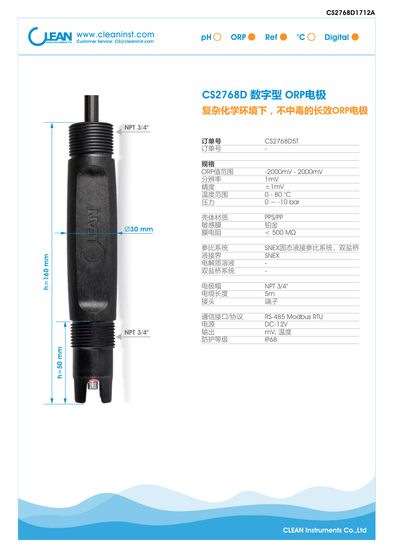WWW.cleaninst.com pHO ORP Ref CC Digital



### CS2768D 数字型 ORP电极 复杂化学环境下,不中毒的长效ORP电极

| 订单号     | CS2768D5T              |
|---------|------------------------|
| 订单号     |                        |
|         |                        |
| 规格      |                        |
| ORP值范围  | $-2000$ mV - $2000$ mV |
| 分辨率     | 1mV                    |
| 精度      | $\pm 1$ mV             |
| 温度范围    | $0 - 80$ °C            |
| 压力      | $0 \sim -10$ bar       |
|         |                        |
| 壳体材质    | PPS/PP                 |
| 敏感膜     | 铂金                     |
| 膜电阻     | $< 500$ M $\Omega$     |
|         |                        |
| 参比系统    | SNEX固态液接参比系统, 双盐桥      |
| 液接界     | <b>SNFX</b>            |
| 电解质溶液   |                        |
| 双盐桥系统   |                        |
| 电极帽     | NPT 3/4"               |
| 电缆长度    | 5 <sub>m</sub>         |
| 接头      | 端子                     |
|         |                        |
| 通信接口/协议 | RS-485 Modbus RTU      |
| 电源      |                        |
|         | <b>DC-12V</b>          |
| 输出      |                        |
| 防护等级    | mV, 温度<br><b>IP68</b>  |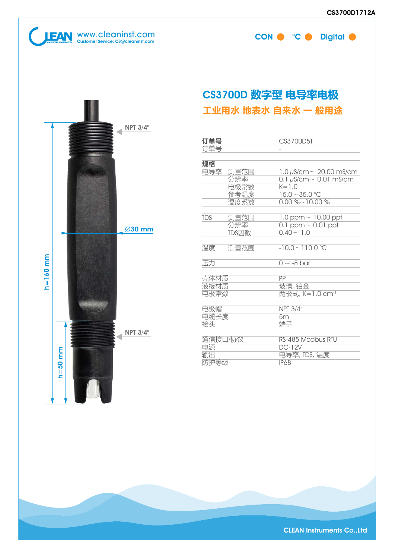

Ø30 mm

NPT 3/4"

 $NPT 3/4"$ 

h=160 mm

 $h = 160$  mm

h=50 mm

 $h = 50$  mm

CON  $\bullet$  °C  $\bullet$  Digital  $\bullet$ 

### CS3700D 数字型 电导率电极 工业用水 地表水 自来水 一 般用途

| 订单号<br>订单号                  |                                     | CS3700D5T                                                                                                        |
|-----------------------------|-------------------------------------|------------------------------------------------------------------------------------------------------------------|
| 规格                          |                                     |                                                                                                                  |
| 电导率                         | 测量范围<br>分辨率<br>电极常数<br>参考温度<br>温度系数 | 1.0 $\mu$ S/cm ~ 20.00 mS/cm<br>0.1 $\mu$ S/cm ~ 0.01 mS/cm<br>$K = 1.0$<br>$15.0 - 35.0$ °C<br>$0.00\%$ ~10.00% |
| <b>TDS</b>                  | 测量范围<br>分辨率<br>TDS因数                | 1.0 ppm $\sim$ 10.00 ppt<br>0.1 ppm $\sim$ 0.01 ppt<br>$0.40 - 1.0$                                              |
| 温度                          | 测量范围                                | $-10.0 - 110.0$ °C                                                                                               |
| 压力                          |                                     | $0 \sim -8$ bar                                                                                                  |
| 壳体材质<br>液接材质<br>电极常数        |                                     | PP<br>玻璃,铂金<br>两极式, K=1.0 cm <sup>-1</sup>                                                                       |
| 电极帽<br>电缆长度<br>接头           |                                     | NPT 3/4"<br>5m<br>端子                                                                                             |
| 通信接口/协议<br>电源<br>输出<br>防护等级 |                                     | RS-485 Modbus RTU<br>$DC-12V$<br>电导率, TDS, 温度<br><b>IP68</b>                                                     |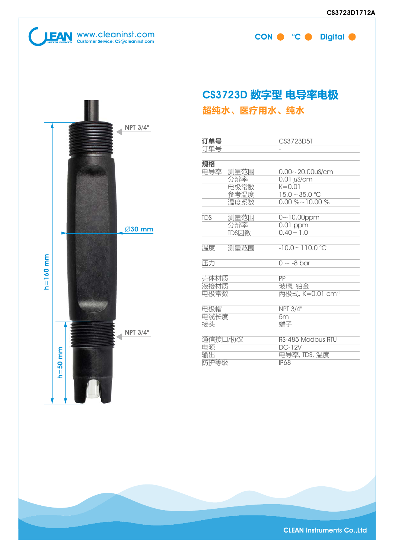

h=160 mm

 $h = 160$  mm

h=50 mm

 $h = 50$  mm

CON  $\bullet$  °C  $\bullet$  Digital  $\bullet$ 

### CS3723D 数字型 电导率电极 超纯水、医疗用水、纯水

| 订单号                         |                      | CS3723D5T                                                         |
|-----------------------------|----------------------|-------------------------------------------------------------------|
| 订单号                         |                      |                                                                   |
|                             |                      |                                                                   |
| 规格<br>电导率                   | 测量范围<br>分辨率<br>电极常数  | $0.00 - 20.00$ uS/cm<br>$0.01 \mu s/cm$<br>$K = 0.01$             |
|                             | 参考温度<br>温度系数         | $15.0 - 35.0$ °C<br>$0.00\%$ ~10.00 %                             |
| <b>TDS</b>                  | 测量范围<br>分辨率<br>TDS因数 | $0 - 10.00$ ppm<br>0.01 ppm<br>$0.40 - 1.0$                       |
| 温度                          | 测量范围                 | $-10.0 - 110.0$ °C                                                |
| 压力                          |                      | $0 \sim -8$ bar                                                   |
| 壳体材质<br>液接材质<br>电极常数        |                      | PP<br>玻璃,铂金<br>两极式, K=0.01 cm <sup>-1</sup>                       |
| 电极帽<br>电缆长度<br>接头           |                      | <b>NPT 3/4"</b><br>5m<br>端子                                       |
| 通信接口/协议<br>电源<br>输出<br>防护等级 |                      | RS-485 Modbus RTU<br><b>DC-12V</b><br>电导率, TDS, 温度<br><b>IP68</b> |

#### Ø30 mm

NPT 3/4"

 $NPT 3/4"$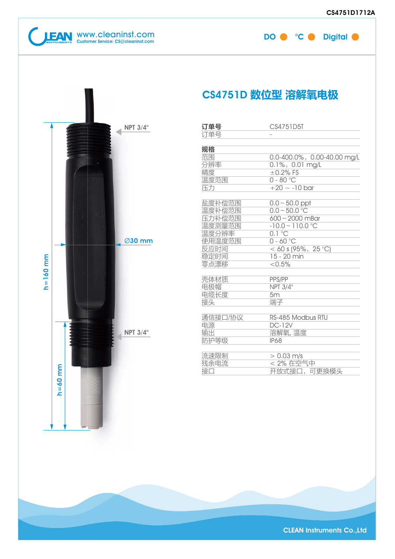# EAN WWW.cleaninst.com DO <sup>°</sup>C Digital Customer Service: CS@cleaninst.com

|  |  | CS4751D 数位型 溶解氧电极 |
|--|--|-------------------|
|--|--|-------------------|

| 订单号     | CS4751D5T                   |
|---------|-----------------------------|
| 订单号     |                             |
|         |                             |
| 规格      |                             |
| 范围      | 0.0-400.0%, 0.00-40.00 mg/L |
| 分辨率     | 0.1%, 0.01 mg/L             |
| 精度      | $\pm$ 0.2% FS               |
| 温度范围    | $0 - 80$ °C                 |
| 压力      | $+20 \sim -10$ bar          |
|         |                             |
| 盐度补偿范围  | $0.0 - 50.0$ ppt            |
| 温度补偿范围  | $0.0 - 50.0$ °C             |
| 压力补偿范围  | $600 - 2000$ mBar           |
| 温度测量范围  | $-10.0 - 110.0$ °C          |
| 温度分辨率   | $0.1$ °C                    |
| 使用温度范围  | $0 - 60 °C$                 |
| 反应时间    | < 60 s (95%, 25 °C)         |
| 稳定时间    | 15 - 20 min                 |
| 零点漂移    | < 0.5%                      |
|         |                             |
| 壳体材质    | PPS/PP                      |
| 电极帽     | NPT 3/4"                    |
| 电缆长度    | 5m                          |
| 接头      | 端子                          |
|         |                             |
| 通信接口/协议 | RS-485 Modbus RTU           |
| 电源      | $DC-12V$                    |
| 输出      | 溶解氧, 温度                     |
| 防护等级    | <b>IP68</b>                 |
|         |                             |
| 流速限制    | $> 0.03$ m/s<br>< 2% 在空气中   |
| 残余电流    |                             |
| 接口      | 开放式接口,可更换模头                 |

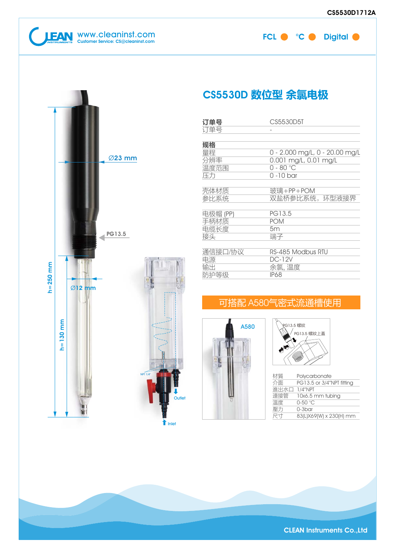



### CS5530D 数位型 余氯电极

| 订单号      | CS5530D5T                      |
|----------|--------------------------------|
| 订单号      |                                |
|          |                                |
| 规格       |                                |
| 量程       | 0 - 2.000 mg/L, 0 - 20.00 mg/L |
| 分辨率      | 0.001 mg/L, 0.01 mg/L          |
| 温度范围     | $0 - 80 °C$                    |
| 压力       | $0 - 10$ bar                   |
|          |                                |
| 壳体材质     | 玻璃+PP+POM                      |
| 参比系统     | 双盐桥参比系统,环型液接界                  |
|          |                                |
| 电极帽 (PP) | PG13.5                         |
| 手柄材质     | <b>POM</b>                     |
| 电缆长度     | 5m                             |
| 接头       | 端子                             |
|          |                                |
| 通信接口/协议  | RS-485 Modbus RTU              |
| 电源       | <b>DC-12V</b>                  |
| 输出       | 余氯,温度                          |
| 防护等级     | <b>IP68</b>                    |
|          |                                |

#### 可搭配 A580气密式流通槽使用





| 材質   | Polycarbonate             |
|------|---------------------------|
| 介面   | PG13.5 or 3/4"NPT fitting |
| 谁出水口 | $1/4''$ NPT               |
| 連接管  | 10x6.5 mm tubing          |
| 溫度   | $0-50$ °C                 |
| 壓力   | $0-3$ bar                 |
| 尺寸   | 83(L)X69(W) x 230(H) mm   |
|      |                           |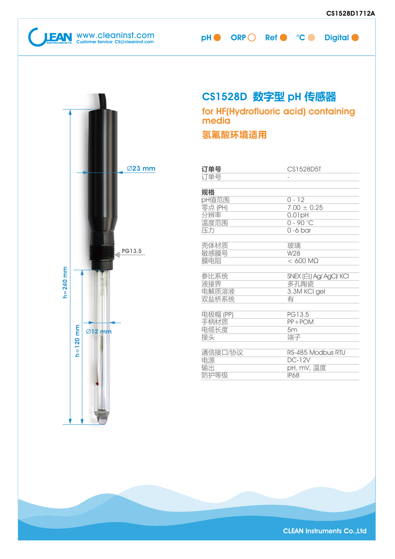

### CS1528D 数字型 pH 传感器

for HF(Hydrofluoric acid) containing media

氢氟酸环境适用

| 订单号      | CS1528D5T              |
|----------|------------------------|
| 订单号      |                        |
|          |                        |
| 规格       |                        |
| pH值范围    | $0 - 12$               |
| 零点 (PH)  | $7.00 \pm 0.25$        |
| 分辨率      | $0.01$ pH              |
| 温度范围     | $0 - 90 °C$            |
| 压力       | $0 - 6$ bar            |
|          |                        |
| 壳体材质     | 玻璃                     |
| 敏感膜号     | W28                    |
| 膜电阻      | $< 600$ MO             |
|          |                        |
| 参比系统     | SNEX (白) Ag/ AgCl/ KCl |
| 液接界      | 多孔陶瓷                   |
| 电解质溶液    | 3.3M KCI gel           |
| 双盐桥系统    | 有                      |
|          |                        |
| 电极帽 (PP) | PG13.5                 |
| 手柄材质     | $PP + POM$             |
| 电缆长度     | 5m                     |
| 接头       | 端子                     |
|          |                        |
| 通信接口/协议  | RS-485 Modbus RTU      |
| 电源       | <b>DC-12V</b>          |
| 输出       | pH, mV, 温度             |
| 防护等级     | <b>IP68</b>            |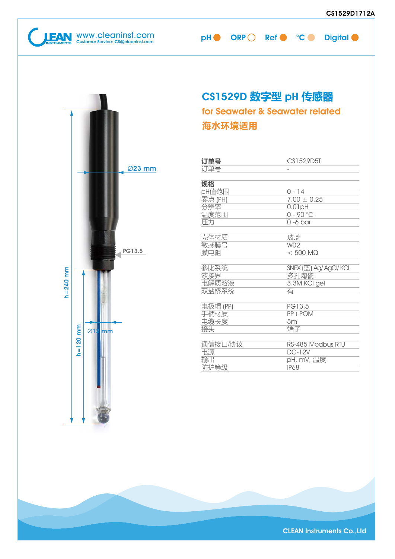www.cleaninst.com  $\mathsf{CH} \bullet \mathsf{ORP} \bigcirc \mathsf{Ref} \bullet \mathsf{^o}\mathsf{C} \bullet \mathsf{Digital}$ 

# CS1529D 数字型 pH 传感器

海水环境适用 for Seawater & Seawater related

| 订单号      | CS1529D5T              |
|----------|------------------------|
| 订单号      |                        |
|          |                        |
| 规格       |                        |
| pH值范围    | $0 - 14$               |
| 零点 (PH)  | $7.00 \pm 0.25$        |
| 分辨率      | $0.01$ pH              |
| 温度范围     | $0 - 90 °C$            |
| 压力       | $0 - 6$ bar            |
|          |                        |
| 壳体材质     | 玻璃                     |
| 敏感膜号     | W <sub>02</sub>        |
| 膜电阻      | $< 500$ MQ             |
|          |                        |
| 参比系统     | SNEX (蓝) Ag/ AgCl/ KCl |
| 液接界      | 多孔陶瓷                   |
| 电解质溶液    | 3.3M KCI gel           |
| 双盐桥系统    | 有                      |
|          |                        |
| 电极帽 (PP) | PG13.5                 |
| 手柄材质     | $PP + POM$             |
| 电缆长度     | 5m                     |
| 接头       | 端子                     |
|          |                        |
| 通信接口/协议  | RS-485 Modbus RTU      |
| 电源       | <b>DC-12V</b>          |
| 输出       | pH, mV, 温度             |
| 防护等级     | <b>IP68</b>            |

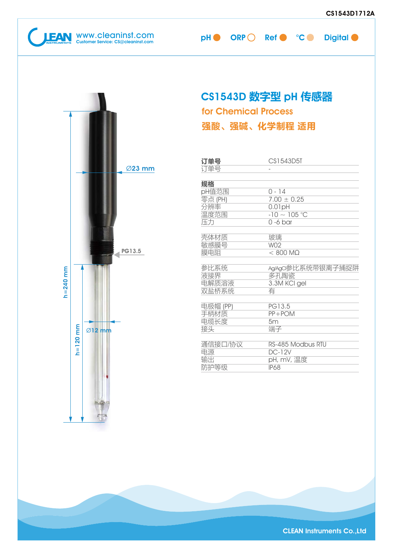www.cleaninst.com pH ORP Ref °C Digital Customer Service: CS@cleaninst.com

### CS1543D 数字型 pH 传感器

for Chemical Process



| 订单号      | CS1543D5T          |
|----------|--------------------|
| 订单号      |                    |
|          |                    |
| 规格       |                    |
| pH值范围    | 0 - 14             |
| 零点 (PH)  | $7.00 \pm 0.25$    |
| 分辨率      | $0.01$ pH          |
| 温度范围     | $-10 \sim 105$ °C  |
| 压力       | $0 - 6$ bar        |
|          |                    |
| 壳体材质     | 玻璃                 |
| 敏感膜号     | W <sub>02</sub>    |
| 膜电阻      | $< 800$ M $\Omega$ |
|          |                    |
| 参比系统     | Ag/AgCI参比系统带银离子捕捉阱 |
| 液接界      | 多孔陶瓷               |
| 电解质溶液    | 3.3M KCI gel       |
| 双盐桥系统    | 有                  |
|          |                    |
| 电极帽 (PP) | PG13.5             |
| 手柄材质     | $PP + POM$         |
| 电缆长度     | 5m                 |
| 接头       | 端子                 |
|          |                    |
| 通信接口/协议  | RS-485 Modbus RTU  |
| 电源       | $DC-12V$           |
| 输出       | pH, mV, 温度         |
| 防护等级     | <b>IP68</b>        |

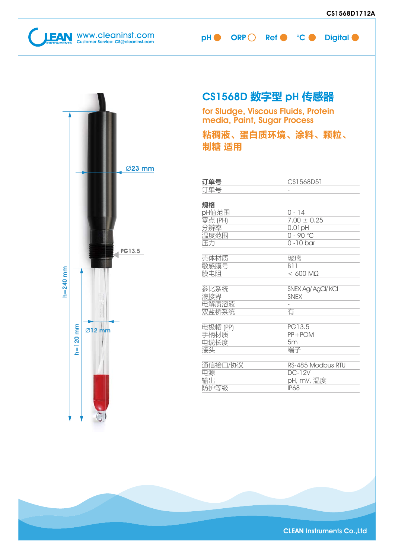**CULTAN** WWW.Cleaninst.com pH ORP Ref C °C Digital ORP Ref C °C Digital Customer Service: CS@cleaninst.com



### CS1568D 数字型 pH 传感器

for Sludge, Viscous Fluids, Protein media, Paint, Sugar Process

粘稠液、蛋白质环境、涂料、颗粒、 制糖 适用

| 订单号      | CS1568D5T          |
|----------|--------------------|
| 订单号      |                    |
|          |                    |
| 规格       |                    |
| pH值范围    | $0 - 14$           |
| 零点 (PH)  | $7.00 \pm 0.25$    |
| 分辨率      | $0.01$ pH          |
| 温度范围     | $0 - 90 °C$        |
| 压力       | $0 - 10$ bar       |
|          |                    |
| 壳体材质     | 玻璃                 |
| 敏感膜号     | <b>B11</b>         |
| 膜电阻      | $< 600$ MQ         |
|          |                    |
| 参比系统     | SNEX Ag/ AgCl/ KCI |
| 液接界      | <b>SNEX</b>        |
| 电解质溶液    |                    |
| 双盐桥系统    | 有                  |
|          |                    |
| 电极帽 (PP) | PG13.5             |
| 手柄材质     | $PP + POM$         |
| 电缆长度     | 5m                 |
| 接头       | 端子                 |
|          |                    |
| 通信接口/协议  | RS-485 Modbus RTU  |
| 电源       | <b>DC-12V</b>      |
| 输出       | pH, mV, 温度         |
| 防护等级     | <b>IP68</b>        |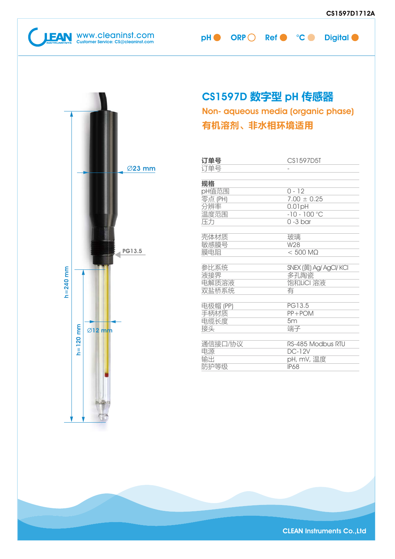www.cleaninst.com  $\mathsf{CH} \bullet \mathsf{ORP} \bigcirc \mathsf{Ref} \bullet \mathsf{^o}\mathsf{C} \bullet \mathsf{Digital}$ 

### CS1597D 数字型 pH 传感器

有机溶剂、非水相环境适用 Non- aqueous media (organic phase)

| 订单号      | CS1597D5T              |
|----------|------------------------|
| 订单号      |                        |
|          |                        |
| 规格       |                        |
| pH值范围    | $0 - 12$               |
| 零点 (PH)  | $7.00 \pm 0.25$        |
| 分辨率      | $0.01$ pH              |
| 温度范围     | $-10 - 100$ °C         |
| 压力       | $\overline{0}$ -3 bar  |
|          |                        |
| 壳体材质     | 玻璃                     |
| 敏感膜号     | W28                    |
| 膜电阻      | $< 500$ MQ             |
|          |                        |
| 参比系统     | SNEX (黄) Ag/ AgCl/ KCl |
| 液接界      | 多孔陶瓷                   |
| 电解质溶液    | 饱和LiCI 溶液              |
| 双盐桥系统    | 有                      |
|          |                        |
| 电极帽 (PP) | PG13.5                 |
| 手柄材质     | $PP + POM$             |
| 电缆长度     | 5m                     |
| 接头       | 端子                     |
|          |                        |
| 通信接口/协议  | RS-485 Modbus RTU      |
| 电源       | <b>DC-12V</b>          |
| 输出       | pH, mV, 温度             |
| 防护等级     | <b>IP68</b>            |

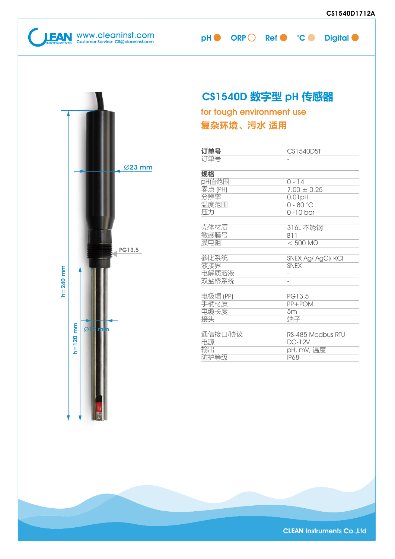WWW.Cleaninst.com **pH ORP Ref C** °C Digital Customer Service: CS@cleaninst.com



### CS1540D 数字型 pH 传感器

复杂环境、污水 适用 for tough environment use

| 订单号      | CS1540D5T          |
|----------|--------------------|
| 订单号      |                    |
|          |                    |
| 规格       |                    |
| pH值范围    | $0 - 14$           |
| 零点 (PH)  | $7.00 \pm 0.25$    |
| 分辨率      | 0.01pH             |
| 温度范围     | $0 - 80$ °C        |
| 压力       | $0 - 10$ bar       |
|          |                    |
| 壳体材质     | 316L 不锈钢           |
| 敏感膜号     | <b>B11</b>         |
| 膜电阻      | $< 500$ M $\Omega$ |
|          |                    |
| 参比系统     | SNEX Ag/ AgCl/ KCI |
| 液接界      | <b>SNEX</b>        |
| 电解质溶液    |                    |
| 双盐桥系统    |                    |
|          |                    |
| 电极帽 (PP) | PG13.5             |
| 手柄材质     | $PP + POM$         |
| 电缆长度     | 5m                 |
| 接头       | 端子                 |
|          |                    |
| 通信接口/协议  | RS-485 Modbus RTU  |
| 电源       | <b>DC-12V</b>      |
| 输出       | pH, mV, 温度         |
| 防护等级     | <b>IP68</b>        |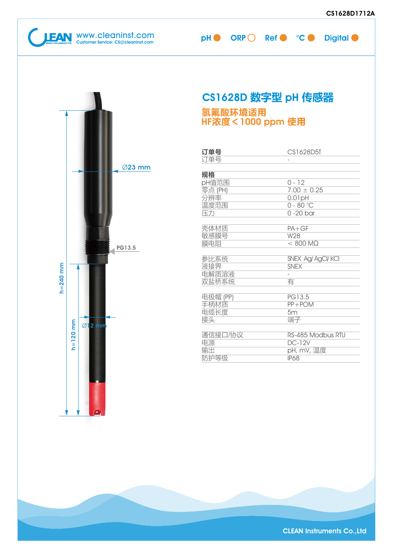**EAN** WWW.cleaninst.com pH ORP Ref C °C Digital ORP Ref C °C Digital Customer Service: CS@cleaninst.com



# CS1628D 数字型 pH 传感器

#### 氢氟酸环境适用 HF浓度<1000 ppm 使用

| 订单号      | CS1628D5T          |
|----------|--------------------|
| 订单号      |                    |
|          |                    |
| 规格       |                    |
| pH值范围    | $0 - 12$           |
| 零点 (PH)  | $7.00 \pm 0.25$    |
| 分辨率      | Hq10.0             |
| 温度范围     | $0 - 80$ °C        |
| 压力       | $0 - 20$ bar       |
|          |                    |
| 壳体材质     | $PA + GF$          |
| 敏感膜号     | W28                |
| 膜电阻      | $< 800$ MQ         |
|          |                    |
| 参比系统     | SNEX Ag/ AgCl/ KCI |
| 液接界      | <b>SNFX</b>        |
| 电解质溶液    |                    |
| 双盐桥系统    | 有                  |
|          |                    |
| 电极帽 (PP) | PG13.5             |
| 手柄材质     | $PP + POM$         |
| 电缆长度     | 5m                 |
| 接头       | 端子                 |
|          |                    |
| 通信接口/协议  | RS-485 Modbus RTU  |
| 电源       | <b>DC-12V</b>      |
| 输出       | pH, mV, 温度         |
| 防护等级     | <b>IP68</b>        |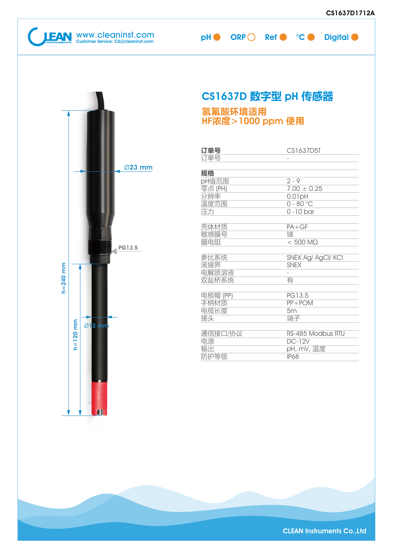

## CS1637D 数字型 pH 传感器

#### 氢氟酸环境适用 HF浓度>1000 ppm 使用

| 订单号      | CS1637D5T          |
|----------|--------------------|
| 订单号      |                    |
|          |                    |
| 规格       |                    |
| pH值范围    | $2 - 9$            |
| 零点 (PH)  | $7.00 \pm 0.25$    |
| 分辨率      | $0.01$ pH          |
| 温度范围     | $0 - 80$ °C        |
| 压力       | $0 - 10$ bar       |
|          |                    |
| 壳体材质     | $PA+GF$            |
| 敏感膜号     | 锑                  |
| 膜电阻      | $< 500$ M $\Omega$ |
|          |                    |
| 参比系统     | SNEX Ag/ AgCl/ KCI |
| 液接界      | <b>SNEX</b>        |
| 电解质溶液    |                    |
| 双盐桥系统    | 有                  |
|          |                    |
| 电极帽 (PP) | PG13.5             |
| 手柄材质     | $PP+POM$           |
| 电缆长度     | 5m                 |
| 接头       | 端子                 |
|          |                    |
| 通信接口/协议  | RS-485 Modbus RTU  |
| 电源       | <b>DC-12V</b>      |
| 输出       | pH, mV, 温度         |
| 防护等级     | <b>IP68</b>        |